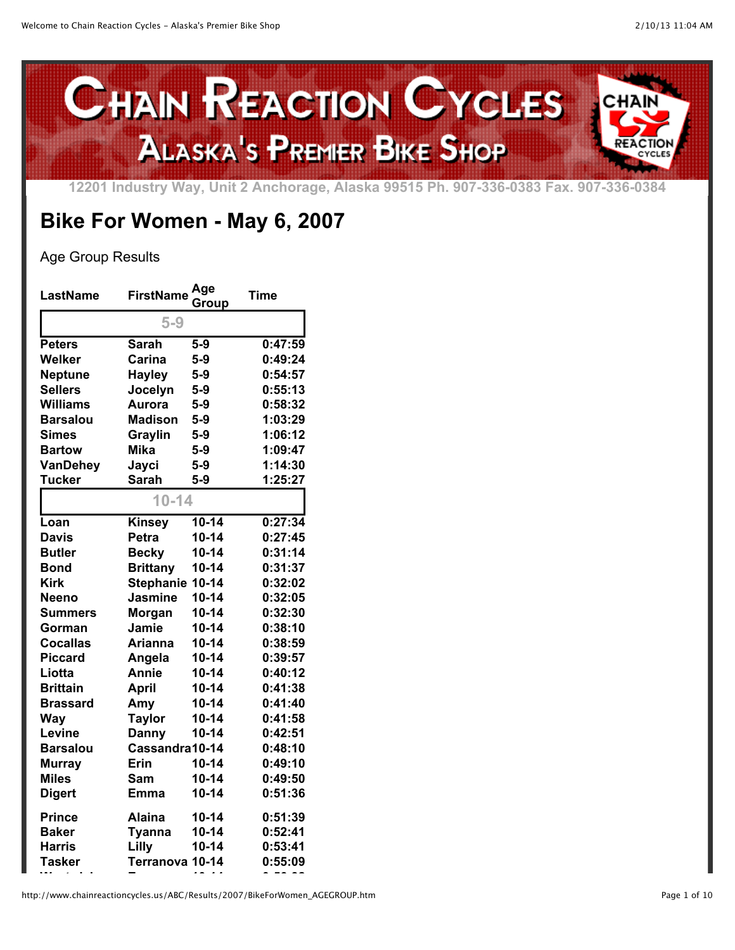

**12201 Industry Way, Unit 2 Anchorage, Alaska 99515 Ph. 907-336-0383 Fax. 907-336-0384**

## **Bike For Women - May 6, 2007**

## Age Group Results

| <b>LastName</b> | <b>FirstName</b> | Age<br>Group | <b>Time</b> |
|-----------------|------------------|--------------|-------------|
|                 | $5-9$            |              |             |
| <b>Peters</b>   | <b>Sarah</b>     | $5-9$        | 0:47:59     |
| Welker          | Carina           | $5-9$        | 0:49:24     |
| <b>Neptune</b>  | <b>Hayley</b>    | $5-9$        | 0:54:57     |
| <b>Sellers</b>  | Jocelyn          | $5-9$        | 0:55:13     |
| <b>Williams</b> | <b>Aurora</b>    | $5-9$        | 0:58:32     |
| <b>Barsalou</b> | <b>Madison</b>   | $5-9$        | 1:03:29     |
| <b>Simes</b>    | Graylin          | $5-9$        | 1:06:12     |
| <b>Bartow</b>   | <b>Mika</b>      | $5-9$        | 1:09:47     |
| <b>VanDehey</b> | Jayci            | $5-9$        | 1:14:30     |
| <b>Tucker</b>   | <b>Sarah</b>     | $5-9$        | 1:25:27     |
|                 | $10 - 14$        |              |             |
| Loan            | <b>Kinsey</b>    | $10 - 14$    | 0:27:34     |
| <b>Davis</b>    | Petra            | $10 - 14$    | 0:27:45     |
| <b>Butler</b>   | <b>Becky</b>     | $10 - 14$    | 0:31:14     |
| <b>Bond</b>     | <b>Brittany</b>  | $10 - 14$    | 0:31:37     |
| <b>Kirk</b>     | <b>Stephanie</b> | $10 - 14$    | 0:32:02     |
| <b>Neeno</b>    | <b>Jasmine</b>   | $10 - 14$    | 0:32:05     |
| <b>Summers</b>  | Morgan           | $10 - 14$    | 0:32:30     |
| Gorman          | Jamie            | $10 - 14$    | 0:38:10     |
| <b>Cocallas</b> | <b>Arianna</b>   | $10 - 14$    | 0:38:59     |
| <b>Piccard</b>  | Angela           | $10 - 14$    | 0:39:57     |
| Liotta          | Annie            | $10 - 14$    | 0:40:12     |
| <b>Brittain</b> | <b>April</b>     | $10 - 14$    | 0:41:38     |
| Brassard        | Amy              | $10 - 14$    | 0:41:40     |
| <b>Way</b>      | <b>Taylor</b>    | $10 - 14$    | 0:41:58     |
| Levine          | <b>Danny</b>     | $10 - 14$    | 0:42:51     |
| <b>Barsalou</b> | Cassandra10-14   |              | 0:48:10     |
| <b>Murray</b>   | <b>Erin</b>      | $10 - 14$    | 0:49:10     |
| <b>Miles</b>    | Sam              | $10 - 14$    | 0:49:50     |
| <b>Digert</b>   | Emma             | $10 - 14$    | 0:51:36     |
| <b>Prince</b>   | Alaina           | $10 - 14$    | 0:51:39     |
| <b>Baker</b>    | <b>Tyanna</b>    | $10 - 14$    | 0:52:41     |
| <b>Harris</b>   | Lilly            | $10 - 14$    | 0:53:41     |
| Tasker          | <b>Terranova</b> | $10 - 14$    | 0:55:09     |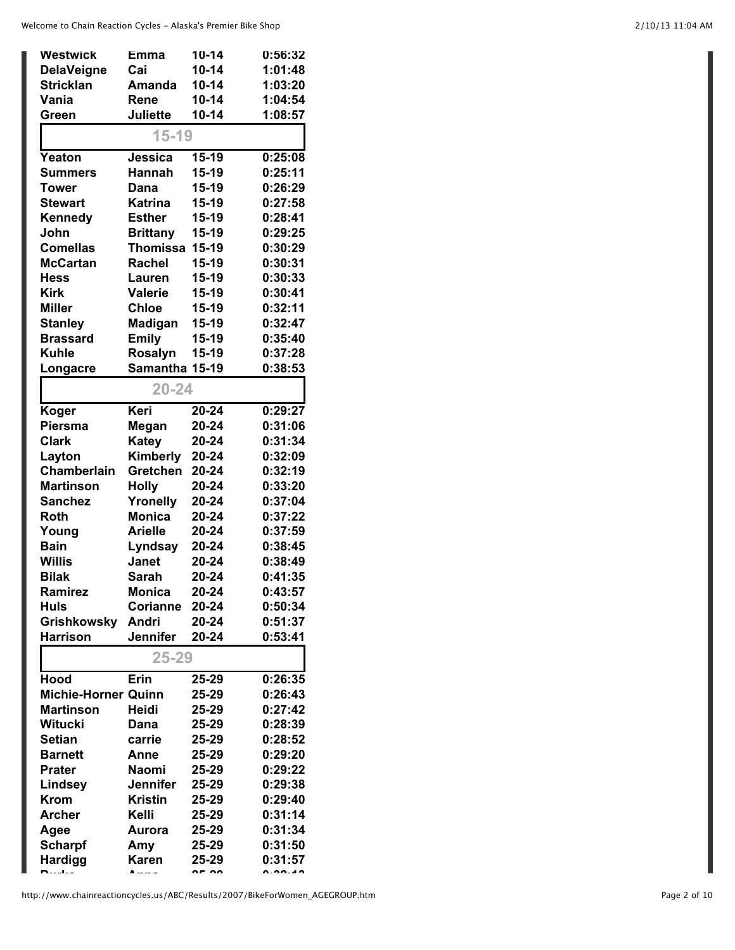| <b>Westwick</b>            | Emma            | $10 - 14$ | 0:56:32 |
|----------------------------|-----------------|-----------|---------|
| <b>DelaVeigne</b>          | Cai             | $10 - 14$ | 1:01:48 |
| <b>Stricklan</b>           | <b>Amanda</b>   | $10 - 14$ | 1:03:20 |
| Vania                      | Rene            | $10 - 14$ | 1:04:54 |
| Green                      | <b>Juliette</b> | $10 - 14$ | 1:08:57 |
|                            | $15 - 19$       |           |         |
| Yeaton                     | Jessica         | 15-19     | 0:25:08 |
| <b>Summers</b>             | Hannah          | 15-19     | 0:25:11 |
| Tower                      | Dana            | 15-19     | 0:26:29 |
| <b>Stewart</b>             | <b>Katrina</b>  | 15-19     | 0:27:58 |
| Kennedy                    | <b>Esther</b>   | $15-19$   | 0:28:41 |
| John                       | <b>Brittany</b> | 15-19     | 0:29:25 |
| <b>Comellas</b>            | <b>Thomissa</b> | 15-19     | 0:30:29 |
| <b>McCartan</b>            | Rachel          | 15-19     | 0:30:31 |
| <b>Hess</b>                | Lauren          | 15-19     | 0:30:33 |
| <b>Kirk</b>                | Valerie         | 15-19     | 0:30:41 |
| <b>Miller</b>              | <b>Chloe</b>    | 15-19     | 0:32:11 |
| <b>Stanley</b>             | Madigan         | 15-19     | 0:32:47 |
| <b>Brassard</b>            | <b>Emily</b>    | 15-19     | 0:35:40 |
| <b>Kuhle</b>               | <b>Rosalyn</b>  | 15-19     | 0:37:28 |
| Longacre                   | Samantha 15-19  |           | 0:38:53 |
|                            |                 |           |         |
|                            | $20 - 24$       |           |         |
| Koger                      | Keri            | 20-24     | 0:29:27 |
| <b>Piersma</b>             | Megan           | 20-24     | 0:31:06 |
| <b>Clark</b>               | <b>Katey</b>    | 20-24     | 0:31:34 |
| Layton                     | Kimberly        | 20-24     | 0:32:09 |
| Chamberlain                | Gretchen        | 20-24     | 0:32:19 |
| <b>Martinson</b>           | <b>Holly</b>    | 20-24     | 0:33:20 |
| <b>Sanchez</b>             | Yronelly        | 20-24     | 0:37:04 |
| <b>Roth</b>                | <b>Monica</b>   | 20-24     | 0:37:22 |
| Young                      | <b>Arielle</b>  | 20-24     | 0:37:59 |
| <b>Bain</b>                | Lyndsay         | 20-24     | 0:38:45 |
| <b>Willis</b>              | <b>Janet</b>    | 20-24     | 0:38:49 |
| <b>Bilak</b>               | Sarah           | 20-24     | 0:41:35 |
| Ramirez                    | <b>Monica</b>   | $20 - 24$ | 0:43:57 |
| <b>Huls</b>                | <b>Corianne</b> | 20-24     | 0:50:34 |
| <b>Grishkowsky</b>         | Andri           | 20-24     | 0:51:37 |
| <b>Harrison</b>            | <b>Jennifer</b> | 20-24     | 0:53:41 |
|                            | 25-29           |           |         |
| <b>Hood</b>                | Erin            | 25-29     | 0:26:35 |
| <b>Michie-Horner Quinn</b> |                 | 25-29     | 0:26:43 |
| <b>Martinson</b>           | <b>Heidi</b>    | 25-29     | 0:27:42 |
| <b>Witucki</b>             | Dana            | 25-29     | 0:28:39 |
| <b>Setian</b>              | carrie          | 25-29     | 0:28:52 |
| <b>Barnett</b>             | Anne            | 25-29     | 0:29:20 |
| <b>Prater</b>              | <b>Naomi</b>    | 25-29     | 0:29:22 |
| Lindsey                    | <b>Jennifer</b> | 25-29     | 0:29:38 |
| <b>Krom</b>                | <b>Kristin</b>  | 25-29     | 0:29:40 |
| <b>Archer</b>              | Kelli           | 25-29     | 0:31:14 |
| Agee                       | <b>Aurora</b>   | 25-29     | 0:31:34 |
| <b>Scharpf</b>             | Amy             | 25-29     | 0:31:50 |
| <b>Hardigg</b>             | <b>Karen</b>    | 25-29     | 0:31:57 |
| <b>n</b>                   | A               |           |         |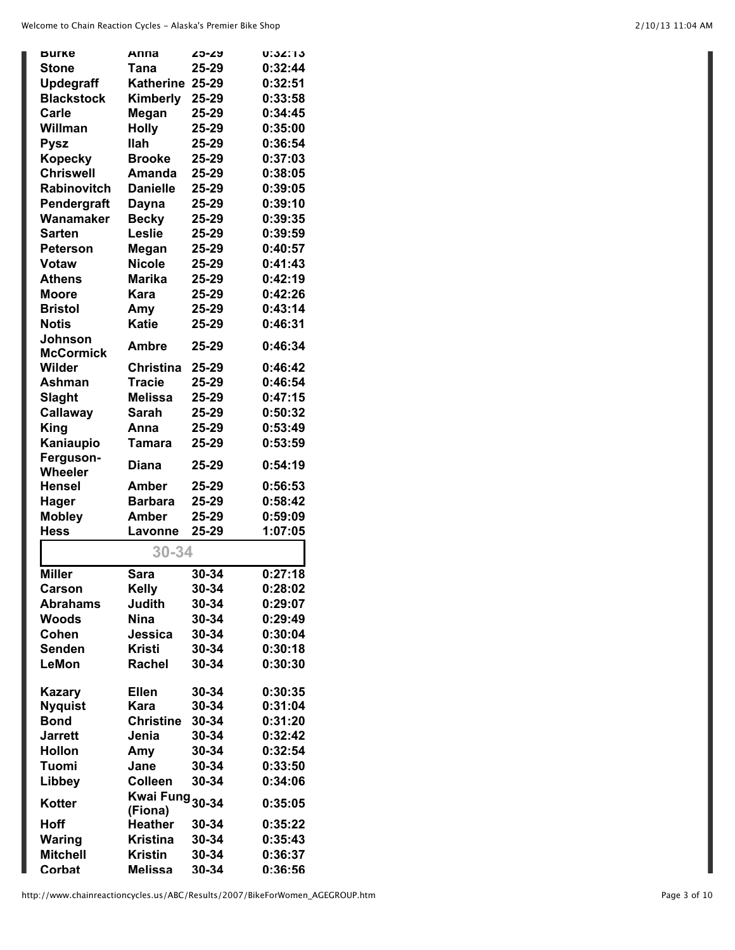| <b>Burke</b>       | Anna                       | <b>25-29</b>   | <b>U:32:13</b> |
|--------------------|----------------------------|----------------|----------------|
| <b>Stone</b>       | Tana                       | 25-29          | 0:32:44        |
| <b>Updegraff</b>   | <b>Katherine</b>           | 25-29          | 0:32:51        |
| <b>Blackstock</b>  | Kimberly                   | 25-29          | 0:33:58        |
| <b>Carle</b>       | Megan                      | 25-29          | 0:34:45        |
| Willman            | <b>Holly</b>               | 25-29          | 0:35:00        |
| <b>Pysz</b>        | <b>Ilah</b>                | 25-29          | 0:36:54        |
| <b>Kopecky</b>     | <b>Brooke</b>              | 25-29          | 0:37:03        |
| <b>Chriswell</b>   | Amanda                     | 25-29          | 0:38:05        |
| <b>Rabinovitch</b> | <b>Danielle</b>            | 25-29          | 0:39:05        |
| Pendergraft        | Dayna                      | 25-29          | 0:39:10        |
| Wanamaker          | <b>Becky</b>               | 25-29          | 0:39:35        |
| <b>Sarten</b>      | Leslie                     | 25-29          | 0:39:59        |
| <b>Peterson</b>    | Megan                      | 25-29          | 0:40:57        |
| <b>Votaw</b>       | <b>Nicole</b>              | 25-29          | 0:41:43        |
| <b>Athens</b>      | <b>Marika</b>              | 25-29          | 0:42:19        |
| <b>Moore</b>       | Kara                       | 25-29          | 0:42:26        |
| <b>Bristol</b>     | Amy                        | 25-29          | 0:43:14        |
| <b>Notis</b>       | <b>Katie</b>               | 25-29          | 0:46:31        |
| Johnson            |                            |                |                |
| <b>McCormick</b>   | Ambre                      | 25-29          | 0:46:34        |
| Wilder             | <b>Christina</b>           | 25-29          | 0:46:42        |
| Ashman             | <b>Tracie</b>              | 25-29          | 0:46:54        |
| Slaght             | <b>Melissa</b>             | 25-29          | 0:47:15        |
| Callaway           | <b>Sarah</b>               | 25-29          | 0:50:32        |
| <b>King</b>        | Anna                       | 25-29          | 0:53:49        |
| Kaniaupio          | Tamara                     | 25-29          | 0:53:59        |
| Ferguson-          |                            |                |                |
| Wheeler            | Diana                      | 25-29          | 0:54:19        |
| <b>Hensel</b>      | <b>Amber</b>               | 25-29          | 0:56:53        |
| <b>Hager</b>       | <b>Barbara</b>             | 25-29          | 0:58:42        |
| <b>Mobley</b>      | Amber                      | 25-29          | 0:59:09        |
| <b>Hess</b>        | Lavonne                    | 25-29          | 1:07:05        |
|                    | 30-34                      |                |                |
| <b>Miller</b>      | <b>Sara</b>                | 30-34          | 0:27:18        |
| Carson             |                            | 30-34          | 0:28:02        |
| <b>Abrahams</b>    | Kelly<br>Judith            | 30-34          | 0:29:07        |
| <b>Woods</b>       | <b>Nina</b>                | 30-34          | 0:29:49        |
| Cohen              | Jessica                    | 30-34          | 0:30:04        |
|                    | <b>Kristi</b>              | 30-34          | 0:30:18        |
| Senden<br>LeMon    | <b>Rachel</b>              | 30-34          | 0:30:30        |
|                    |                            |                |                |
| <b>Kazary</b>      | <b>Ellen</b>               | 30-34          | 0:30:35        |
| <b>Nyquist</b>     | Kara                       | 30-34          | 0:31:04        |
| <b>Bond</b>        | <b>Christine</b>           | 30-34          | 0:31:20        |
| <b>Jarrett</b>     | Jenia                      | 30-34          | 0:32:42        |
| <b>Hollon</b>      | Amy                        | 30-34          | 0:32:54        |
| Tuomi              | Jane                       | 30-34          | 0:33:50        |
| Libbey             | <b>Colleen</b>             | 30-34          | 0:34:06        |
|                    | Kwai Fung <sub>30-34</sub> |                |                |
| Kotter             | (Fiona)                    |                | 0:35:05        |
| Hoff               | <b>Heather</b>             | 30-34          | 0:35:22        |
| <b>Waring</b>      | <b>Kristina</b>            | 30-34          | 0:35:43        |
|                    |                            |                |                |
| <b>Mitchell</b>    | <b>Kristin</b>             | 30-34<br>30-34 | 0:36:37        |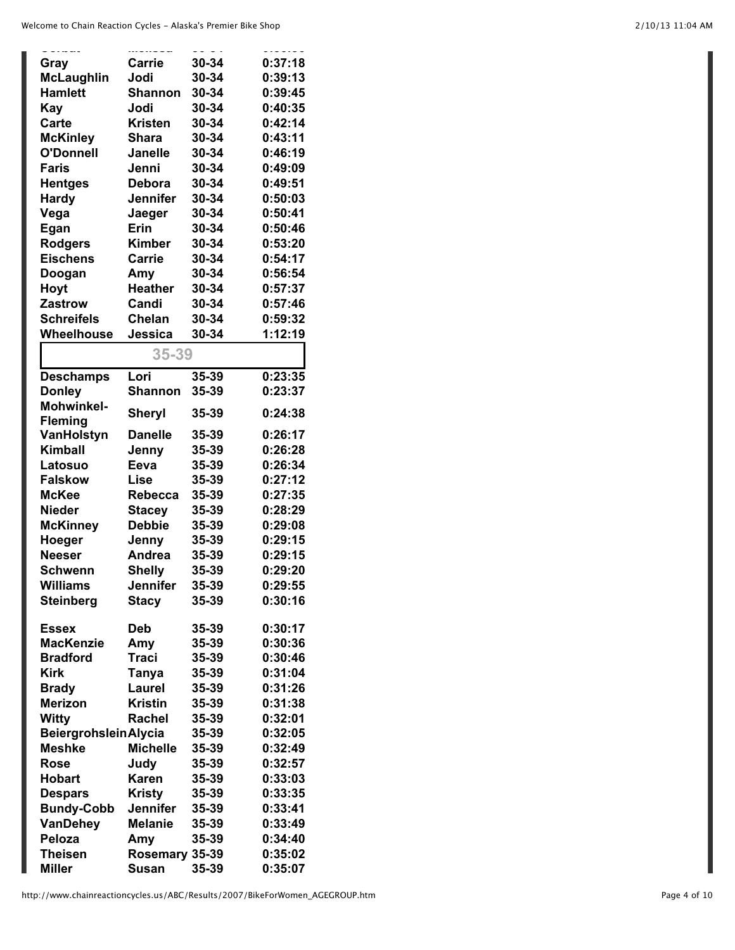| Gray                         | Carrie          | 30-34 | 0:37:18 |
|------------------------------|-----------------|-------|---------|
| <b>McLaughlin</b>            | Jodi            | 30-34 | 0:39:13 |
| <b>Hamlett</b>               | Shannon         | 30-34 | 0:39:45 |
| Kay                          | Jodi            | 30-34 | 0:40:35 |
| <b>Carte</b>                 | <b>Kristen</b>  | 30-34 | 0:42:14 |
| <b>McKinley</b>              | Shara           | 30-34 | 0:43:11 |
| <b>O'Donnell</b>             | <b>Janelle</b>  | 30-34 | 0:46:19 |
| <b>Faris</b>                 | Jenni           | 30-34 | 0:49:09 |
| <b>Hentges</b>               | <b>Debora</b>   | 30-34 | 0:49:51 |
| <b>Hardy</b>                 | <b>Jennifer</b> | 30-34 | 0:50:03 |
| Vega                         | Jaeger          | 30-34 | 0:50:41 |
| Egan                         | Erin            | 30-34 | 0:50:46 |
| <b>Rodgers</b>               | <b>Kimber</b>   | 30-34 | 0:53:20 |
| <b>Eischens</b>              | <b>Carrie</b>   | 30-34 | 0:54:17 |
| Doogan                       | Amy             | 30-34 | 0:56:54 |
| Hoyt                         | <b>Heather</b>  | 30-34 | 0:57:37 |
| <b>Zastrow</b>               | Candi           | 30-34 | 0:57:46 |
| <b>Schreifels</b>            | <b>Chelan</b>   | 30-34 | 0:59:32 |
| Wheelhouse                   | Jessica         | 30-34 | 1:12:19 |
|                              |                 |       |         |
|                              | 35-39           |       |         |
| <b>Deschamps</b>             | Lori            | 35-39 | 0:23:35 |
| <b>Donley</b>                | <b>Shannon</b>  | 35-39 | 0:23:37 |
| <b>Mohwinkel-</b>            | Sheryl          | 35-39 | 0:24:38 |
| <b>Fleming</b>               |                 |       |         |
| VanHolstyn                   | <b>Danelle</b>  | 35-39 | 0:26:17 |
| <b>Kimball</b>               | Jenny           | 35-39 | 0:26:28 |
| Latosuo                      | Eeva            | 35-39 | 0:26:34 |
| <b>Falskow</b>               | Lise            | 35-39 | 0:27:12 |
| <b>McKee</b>                 | Rebecca         | 35-39 | 0:27:35 |
| <b>Nieder</b>                | <b>Stacey</b>   | 35-39 | 0:28:29 |
| <b>McKinney</b>              | <b>Debbie</b>   | 35-39 | 0:29:08 |
| Hoeger                       | Jenny           | 35-39 | 0:29:15 |
| <b>Neeser</b>                | Andrea          | 35-39 | 0:29:15 |
| Schwenn                      | <b>Shelly</b>   | 35-39 | 0:29:20 |
| Williams                     | Jennifer        | 35-39 | 0:29:55 |
| <b>Steinberg</b>             | <b>Stacy</b>    | 35-39 | 0:30:16 |
|                              |                 |       |         |
| <b>Essex</b>                 | <b>Deb</b>      | 35-39 | 0:30:17 |
| <b>MacKenzie</b>             | Amy             | 35-39 | 0:30:36 |
| <b>Bradford</b>              | <b>Traci</b>    | 35-39 | 0:30:46 |
| <b>Kirk</b>                  | Tanya           | 35-39 | 0:31:04 |
| <b>Brady</b>                 | Laurel          | 35-39 | 0:31:26 |
| <b>Merizon</b>               | <b>Kristin</b>  | 35-39 | 0:31:38 |
| Witty                        | Rachel          | 35-39 | 0:32:01 |
| <b>Beiergrohslein Alycia</b> |                 | 35-39 | 0:32:05 |
| <b>Meshke</b>                | <b>Michelle</b> | 35-39 | 0:32:49 |
| <b>Rose</b>                  | Judy            | 35-39 | 0:32:57 |
| <b>Hobart</b>                | <b>Karen</b>    | 35-39 | 0:33:03 |
| <b>Despars</b>               | <b>Kristy</b>   | 35-39 | 0:33:35 |
| <b>Bundy-Cobb</b>            | <b>Jennifer</b> | 35-39 | 0:33:41 |
| VanDehey                     | <b>Melanie</b>  | 35-39 | 0:33:49 |
| Peloza                       | Amy             | 35-39 | 0:34:40 |
| <b>Theisen</b>               | Rosemary 35-39  |       | 0:35:02 |
| <b>Miller</b>                | <b>Susan</b>    | 35-39 | 0:35:07 |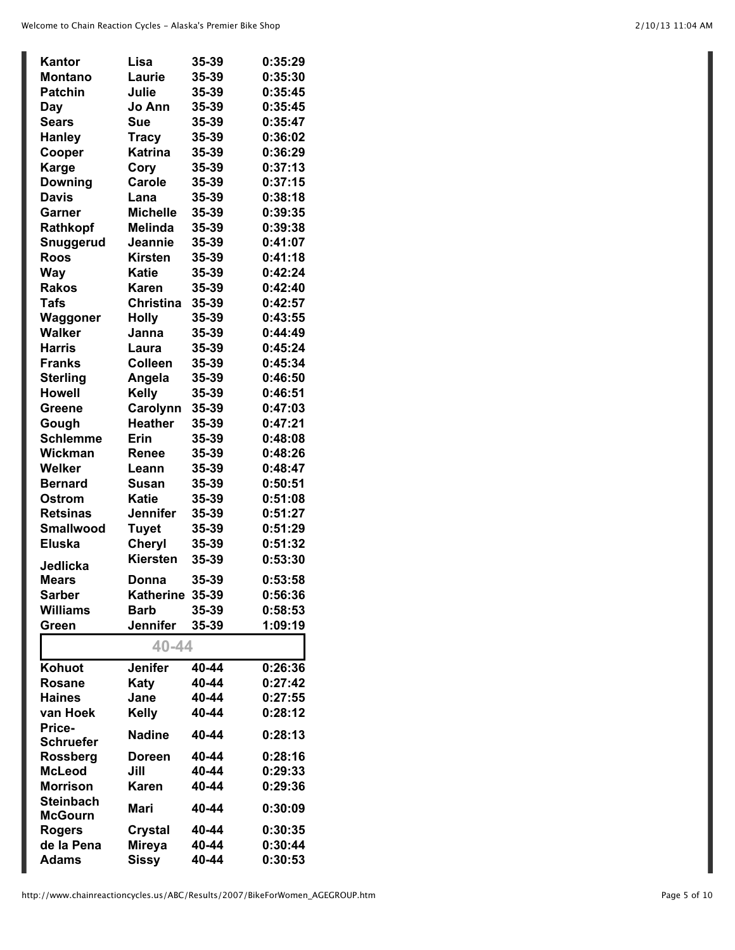| Kantor                      | Lisa                     | 35-39          | 0:35:29 |
|-----------------------------|--------------------------|----------------|---------|
| <b>Montano</b>              | Laurie                   | 35-39          | 0:35:30 |
| <b>Patchin</b>              | Julie                    | 35-39          | 0:35:45 |
| Day                         | Jo Ann                   | 35-39          | 0:35:45 |
| <b>Sears</b>                | Sue                      | 35-39          | 0:35:47 |
| <b>Hanley</b>               | <b>Tracy</b>             | 35-39          | 0:36:02 |
| Cooper                      | <b>Katrina</b>           | 35-39          | 0:36:29 |
| <b>Karge</b>                | Cory                     | 35-39          | 0:37:13 |
| <b>Downing</b>              | Carole                   | 35-39          | 0:37:15 |
| <b>Davis</b>                | Lana                     | 35-39          | 0:38:18 |
| Garner                      | <b>Michelle</b>          | 35-39          | 0:39:35 |
| Rathkopf                    | <b>Melinda</b>           | 35-39          | 0:39:38 |
| Snuggerud                   | Jeannie                  | 35-39          | 0:41:07 |
| <b>Roos</b>                 | <b>Kirsten</b>           | 35-39          | 0:41:18 |
| <b>Way</b>                  | <b>Katie</b>             | 35-39          | 0:42:24 |
| <b>Rakos</b>                | Karen                    | 35-39          | 0:42:40 |
| <b>Tafs</b>                 | <b>Christina</b>         | 35-39          | 0:42:57 |
| Waggoner                    | <b>Holly</b>             | 35-39          | 0:43:55 |
| <b>Walker</b>               | Janna                    | 35-39          | 0:44:49 |
| <b>Harris</b>               | Laura                    | 35-39          | 0:45:24 |
| <b>Franks</b>               | <b>Colleen</b>           | 35-39          | 0:45:34 |
| <b>Sterling</b>             | Angela                   | 35-39          | 0:46:50 |
| <b>Howell</b>               | <b>Kelly</b>             | 35-39          | 0:46:51 |
| <b>Greene</b>               | Carolynn                 | 35-39          | 0:47:03 |
| Gough                       | <b>Heather</b>           | 35-39          | 0:47:21 |
| <b>Schlemme</b>             | Erin                     | 35-39          | 0:48:08 |
| Wickman                     | Renee                    | 35-39          | 0:48:26 |
| Welker                      | Leann                    | 35-39          | 0:48:47 |
| <b>Bernard</b>              | <b>Susan</b>             | 35-39          | 0:50:51 |
| Ostrom                      | <b>Katie</b>             | 35-39          | 0:51:08 |
| <b>Retsinas</b>             | <b>Jennifer</b>          | 35-39          | 0:51:27 |
| <b>Smallwood</b>            | <b>Tuyet</b>             | 35-39          | 0:51:29 |
| <b>Eluska</b>               | Cheryl                   | 35-39          | 0:51:32 |
| Jedlicka                    | <b>Kiersten</b>          | 35-39          | 0:53:30 |
| Mears                       | Donna                    | 35-39          | 0:53:58 |
| <b>Sarber</b>               | Katherine 35-39          |                | 0:56:36 |
| <b>Williams</b>             | <b>Barb</b>              | 35-39          | 0:58:53 |
| Green                       | <b>Jennifer</b>          | 35-39          | 1:09:19 |
|                             |                          |                |         |
|                             | 40-44                    |                |         |
| Kohuot                      | <b>Jenifer</b>           | 40-44          | 0:26:36 |
| <b>Rosane</b>               | Katy                     | 40-44          | 0:27:42 |
| <b>Haines</b>               | Jane                     | 40-44          | 0:27:55 |
| van Hoek                    | <b>Kelly</b>             | 40-44          | 0:28:12 |
| Price-                      | <b>Nadine</b>            | 40-44          | 0:28:13 |
| <b>Schruefer</b>            |                          |                |         |
| <b>Rossberg</b>             | <b>Doreen</b>            | 40-44          | 0:28:16 |
| <b>McLeod</b>               | Jill                     | 40-44          | 0:29:33 |
| <b>Morrison</b>             | Karen                    | 40-44          | 0:29:36 |
| <b>Steinbach</b>            | Mari                     | 40-44          | 0:30:09 |
| <b>McGourn</b>              |                          |                | 0:30:35 |
| <b>Rogers</b><br>de la Pena | Crystal<br><b>Mireya</b> | 40-44<br>40-44 | 0:30:44 |
| <b>Adams</b>                |                          | 40-44          | 0:30:53 |
|                             | Sissy                    |                |         |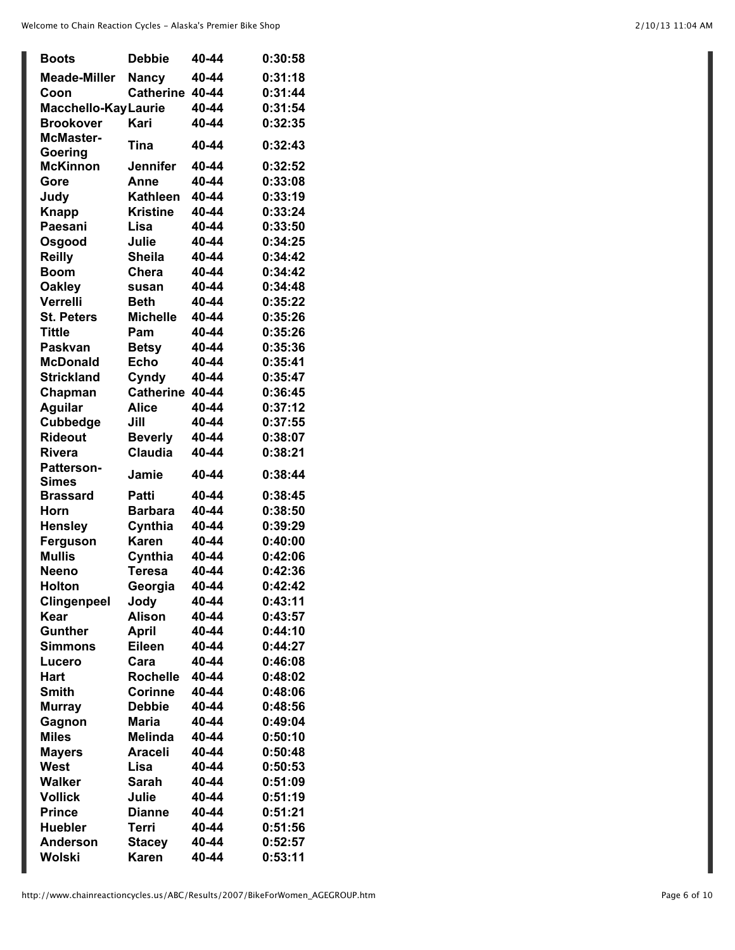| <b>Boots</b>                      | <b>Debbie</b>    | 40-44 | 0:30:58 |
|-----------------------------------|------------------|-------|---------|
| <b>Meade-Miller</b>               | <b>Nancy</b>     | 40-44 | 0:31:18 |
| Coon                              | <b>Catherine</b> | 40-44 | 0:31:44 |
| Macchello-Kay Laurie              |                  | 40-44 | 0:31:54 |
| <b>Brookover</b>                  | Kari             | 40-44 | 0:32:35 |
| <b>McMaster-</b>                  |                  |       |         |
| Goering                           | Tina             | 40-44 | 0:32:43 |
| <b>McKinnon</b>                   | <b>Jennifer</b>  | 40-44 | 0:32:52 |
| Gore                              | Anne             | 40-44 | 0:33:08 |
| Judy                              | <b>Kathleen</b>  | 40-44 | 0:33:19 |
| <b>Knapp</b>                      | <b>Kristine</b>  | 40-44 | 0:33:24 |
| Paesani                           | Lisa             | 40-44 | 0:33:50 |
| Osgood                            | Julie            | 40-44 | 0:34:25 |
| <b>Reilly</b>                     | <b>Sheila</b>    | 40-44 | 0:34:42 |
| <b>Boom</b>                       | Chera            | 40-44 | 0:34:42 |
| <b>Oakley</b>                     | susan            | 40-44 | 0:34:48 |
| Verrelli                          | <b>Beth</b>      | 40-44 | 0:35:22 |
| <b>St. Peters</b>                 | <b>Michelle</b>  | 40-44 | 0:35:26 |
| <b>Tittle</b>                     | Pam              | 40-44 | 0:35:26 |
| <b>Paskvan</b>                    | <b>Betsy</b>     | 40-44 | 0:35:36 |
| <b>McDonald</b>                   | <b>Echo</b>      | 40-44 | 0:35:41 |
| <b>Strickland</b>                 | Cyndy            | 40-44 | 0:35:47 |
|                                   | <b>Catherine</b> | 40-44 | 0:36:45 |
| Chapman                           |                  | 40-44 | 0:37:12 |
| <b>Aguilar</b>                    | Alice            |       |         |
| <b>Cubbedge</b>                   | Jill             | 40-44 | 0:37:55 |
| <b>Rideout</b>                    | <b>Beverly</b>   | 40-44 | 0:38:07 |
| <b>Rivera</b>                     | <b>Claudia</b>   | 40-44 | 0:38:21 |
| <b>Patterson-</b><br><b>Simes</b> | Jamie            | 40-44 | 0:38:44 |
| <b>Brassard</b>                   | Patti            | 40-44 | 0:38:45 |
| Horn                              | <b>Barbara</b>   | 40-44 | 0:38:50 |
| <b>Hensley</b>                    | Cynthia          | 40-44 | 0:39:29 |
| Ferguson                          | <b>Karen</b>     | 40-44 | 0:40:00 |
| <b>Mullis</b>                     | Cynthia          | 40-44 | 0:42:06 |
| <b>Neeno</b>                      | <b>Teresa</b>    | 40-44 | 0:42:36 |
| Holton                            | Georgia          | 40-44 | 0:42:42 |
| <b>Clingenpeel</b>                | Jody             | 40-44 | 0:43:11 |
| Kear                              | <b>Alison</b>    | 40-44 | 0:43:57 |
| <b>Gunther</b>                    | April            | 40-44 | 0:44:10 |
| Simmons                           | Eileen           | 40-44 | 0:44:27 |
| Lucero                            | Cara             | 40-44 | 0:46:08 |
| Hart                              | <b>Rochelle</b>  | 40-44 | 0:48:02 |
| <b>Smith</b>                      | <b>Corinne</b>   | 40-44 | 0:48:06 |
| <b>Murray</b>                     | <b>Debbie</b>    | 40-44 | 0:48:56 |
| Gagnon                            | Maria            | 40-44 | 0:49:04 |
| <b>Miles</b>                      | <b>Melinda</b>   | 40-44 | 0:50:10 |
|                                   |                  | 40-44 | 0:50:48 |
| <b>Mayers</b>                     | Araceli          |       |         |
| West                              | Lisa             | 40-44 | 0:50:53 |
| Walker                            | Sarah            | 40-44 | 0:51:09 |
| <b>Vollick</b>                    | Julie            | 40-44 | 0:51:19 |
| <b>Prince</b>                     | <b>Dianne</b>    | 40-44 | 0:51:21 |
| <b>Huebler</b>                    | Terri            | 40-44 | 0:51:56 |
| <b>Anderson</b>                   | <b>Stacey</b>    | 40-44 | 0:52:57 |
| Wolski                            | <b>Karen</b>     | 40-44 | 0:53:11 |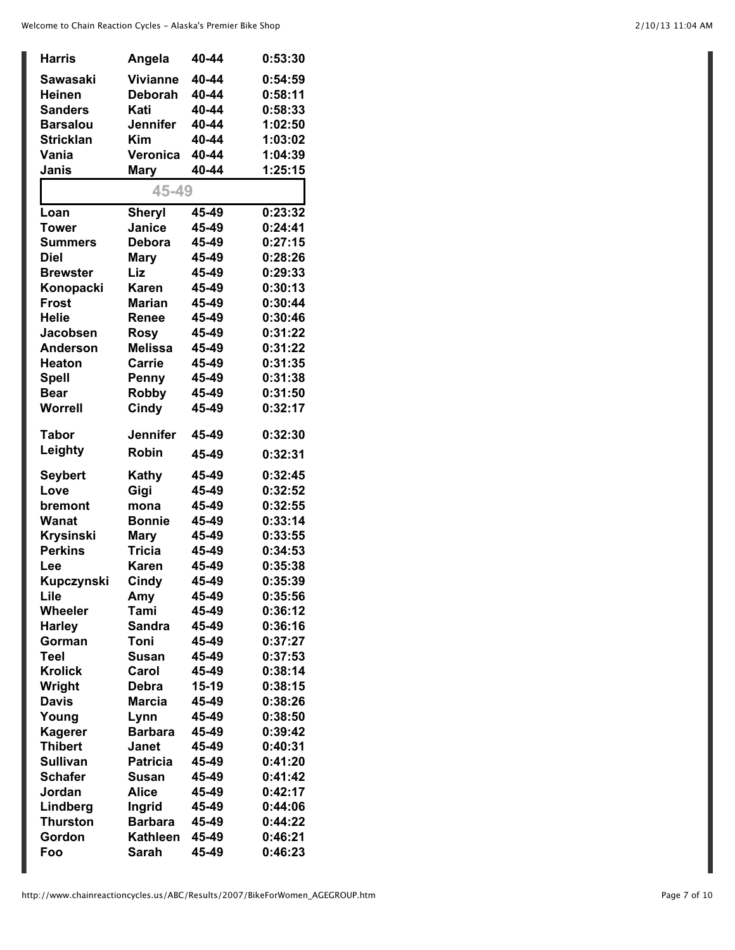| <b>Harris</b>                 | Angela          | 40-44 | 0:53:30 |
|-------------------------------|-----------------|-------|---------|
| Sawasaki                      | <b>Vivianne</b> | 40-44 | 0:54:59 |
| <b>Heinen</b>                 | <b>Deborah</b>  | 40-44 | 0:58:11 |
| <b>Sanders</b>                | Kati            | 40-44 | 0:58:33 |
| <b>Barsalou</b>               | <b>Jennifer</b> | 40-44 | 1:02:50 |
| <b>Stricklan</b>              | <b>Kim</b>      | 40-44 | 1:03:02 |
| Vania                         | Veronica        | 40-44 | 1:04:39 |
| Janis                         | <b>Mary</b>     | 40-44 | 1:25:15 |
|                               | 45-49           |       |         |
| Loan                          | <b>Sheryl</b>   | 45-49 | 0:23:32 |
| Tower                         | Janice          | 45-49 | 0:24:41 |
| <b>Summers</b>                | <b>Debora</b>   | 45-49 | 0:27:15 |
| <b>Diel</b>                   | <b>Mary</b>     | 45-49 | 0:28:26 |
| <b>Brewster</b>               | Liz             | 45-49 | 0:29:33 |
| Konopacki                     | Karen           | 45-49 | 0:30:13 |
| <b>Frost</b>                  | <b>Marian</b>   | 45-49 | 0:30:44 |
| <b>Helie</b>                  | Renee           | 45-49 | 0:30:46 |
| Jacobsen                      | <b>Rosy</b>     | 45-49 | 0:31:22 |
| <b>Anderson</b>               | <b>Melissa</b>  | 45-49 | 0:31:22 |
|                               | <b>Carrie</b>   | 45-49 | 0:31:35 |
| <b>Heaton</b>                 |                 | 45-49 | 0:31:38 |
| <b>Spell</b>                  | Penny           |       |         |
| <b>Bear</b><br><b>Worrell</b> | <b>Robby</b>    | 45-49 | 0:31:50 |
|                               | Cindy           | 45-49 | 0:32:17 |
| Tabor                         | <b>Jennifer</b> | 45-49 | 0:32:30 |
| Leighty                       | <b>Robin</b>    | 45-49 | 0:32:31 |
| <b>Seybert</b>                | Kathy           | 45-49 | 0:32:45 |
| Love                          | Gigi            | 45-49 | 0:32:52 |
| bremont                       | mona            | 45-49 | 0:32:55 |
| Wanat                         | <b>Bonnie</b>   | 45-49 | 0:33:14 |
| <b>Krysinski</b>              | <b>Mary</b>     | 45-49 | 0:33:55 |
| <b>Perkins</b>                | <b>Tricia</b>   | 45-49 | 0:34:53 |
| Lee                           | <b>Karen</b>    | 45-49 | 0:35:38 |
| Kupczynski                    | Cindy           | 45-49 | 0:35:39 |
| Lile                          | Amy             | 45-49 | 0:35:56 |
| Wheeler                       | Tami            | 45-49 | 0:36:12 |
| <b>Harley</b>                 | <b>Sandra</b>   | 45-49 | 0:36:16 |
| Gorman                        | Toni            | 45-49 | 0:37:27 |
| Teel                          | Susan           | 45-49 | 0:37:53 |
| <b>Krolick</b>                | Carol           | 45-49 | 0:38:14 |
| Wright                        | Debra           | 15-19 | 0:38:15 |
| <b>Davis</b>                  | <b>Marcia</b>   | 45-49 | 0:38:26 |
| Young                         | Lynn            | 45-49 | 0:38:50 |
| <b>Kagerer</b>                | <b>Barbara</b>  | 45-49 | 0:39:42 |
| <b>Thibert</b>                | Janet           | 45-49 | 0:40:31 |
| <b>Sullivan</b>               | <b>Patricia</b> | 45-49 | 0:41:20 |
| <b>Schafer</b>                | Susan           | 45-49 | 0:41:42 |
| Jordan                        | <b>Alice</b>    | 45-49 | 0:42:17 |
| Lindberg                      | Ingrid          | 45-49 | 0:44:06 |
| <b>Thurston</b>               | <b>Barbara</b>  | 45-49 | 0:44:22 |
| Gordon                        | <b>Kathleen</b> | 45-49 | 0:46:21 |
|                               |                 |       |         |
| Foo                           | Sarah           | 45-49 | 0:46:23 |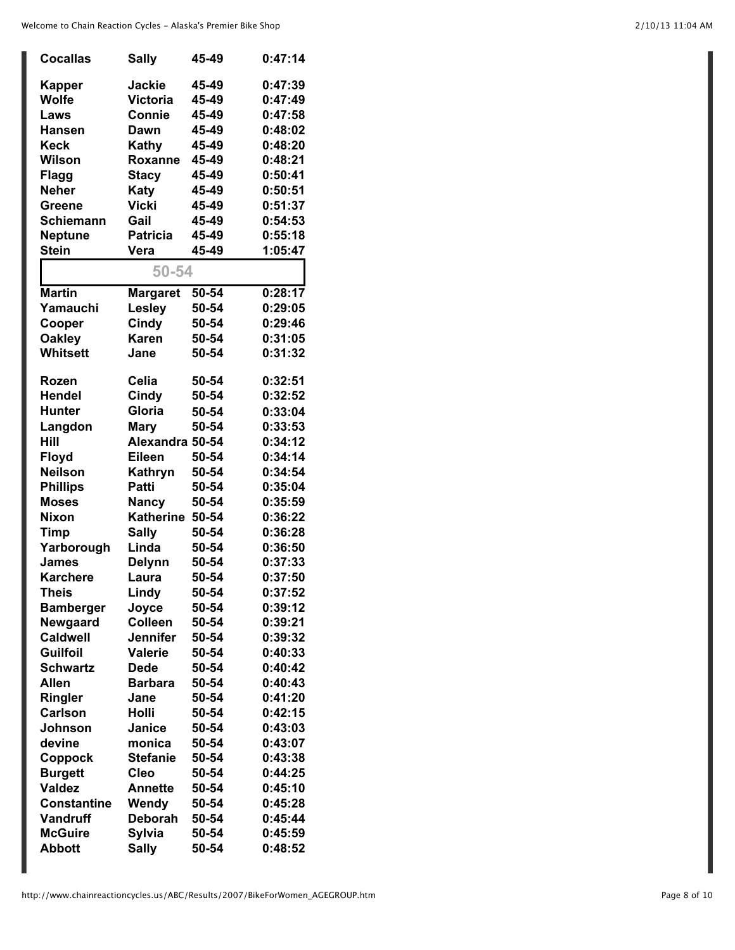| <b>Cocallas</b>    | <b>Sally</b>     | 45-49 | 0:47:14 |
|--------------------|------------------|-------|---------|
| <b>Kapper</b>      | <b>Jackie</b>    | 45-49 | 0:47:39 |
| Wolfe              | Victoria         | 45-49 | 0:47:49 |
| Laws               | Connie           | 45-49 | 0:47:58 |
| <b>Hansen</b>      | Dawn             | 45-49 | 0:48:02 |
| Keck               | Kathy            | 45-49 | 0:48:20 |
| Wilson             | Roxanne          | 45-49 | 0:48:21 |
| <b>Flagg</b>       | <b>Stacy</b>     | 45-49 | 0:50:41 |
| <b>Neher</b>       | Katy             | 45-49 | 0:50:51 |
| <b>Greene</b>      | Vicki            | 45-49 | 0:51:37 |
| <b>Schiemann</b>   | Gail             | 45-49 | 0:54:53 |
| <b>Neptune</b>     | <b>Patricia</b>  | 45-49 | 0:55:18 |
| <b>Stein</b>       | Vera             | 45-49 | 1:05:47 |
|                    |                  |       |         |
|                    | 50-54            |       |         |
| <b>Martin</b>      | <b>Margaret</b>  | 50-54 | 0:28:17 |
| Yamauchi           | Lesley           | 50-54 | 0:29:05 |
| Cooper             | Cindy            | 50-54 | 0:29:46 |
| <b>Oakley</b>      | <b>Karen</b>     | 50-54 | 0:31:05 |
| Whitsett           | Jane             | 50-54 | 0:31:32 |
|                    |                  |       |         |
| <b>Rozen</b>       | Celia            | 50-54 | 0:32:51 |
| <b>Hendel</b>      | Cindy            | 50-54 | 0:32:52 |
| <b>Hunter</b>      | Gloria           | 50-54 | 0:33:04 |
| Langdon            | <b>Mary</b>      | 50-54 | 0:33:53 |
| Hill               | Alexandra 50-54  |       | 0:34:12 |
| <b>Floyd</b>       | <b>Eileen</b>    | 50-54 | 0:34:14 |
| <b>Neilson</b>     | Kathryn          | 50-54 | 0:34:54 |
| <b>Phillips</b>    | Patti            | 50-54 | 0:35:04 |
| <b>Moses</b>       | <b>Nancy</b>     | 50-54 | 0:35:59 |
| <b>Nixon</b>       | <b>Katherine</b> | 50-54 | 0:36:22 |
| <b>Timp</b>        | <b>Sally</b>     | 50-54 | 0:36:28 |
| Yarborough         | Linda            | 50-54 | 0:36:50 |
| James              | <b>Delynn</b>    | 50-54 | 0:37:33 |
| <b>Karchere</b>    | Laura            | 50-54 | 0:37:50 |
| <b>Theis</b>       | Lindy            | 50-54 | 0:37:52 |
| <b>Bamberger</b>   | Joyce            | 50-54 | 0:39:12 |
| Newgaard           | <b>Colleen</b>   | 50-54 | 0:39:21 |
| <b>Caldwell</b>    | Jennifer         | 50-54 | 0:39:32 |
| <b>Guilfoil</b>    | <b>Valerie</b>   | 50-54 | 0:40:33 |
| Schwartz           | <b>Dede</b>      | 50-54 | 0:40:42 |
| Allen              | <b>Barbara</b>   | 50-54 | 0:40:43 |
| Ringler            | Jane             | 50-54 | 0:41:20 |
| <b>Carlson</b>     | <b>Holli</b>     | 50-54 | 0:42:15 |
| Johnson            | Janice           | 50-54 | 0:43:03 |
| devine             | monica           | 50-54 | 0:43:07 |
| Coppock            | <b>Stefanie</b>  | 50-54 | 0:43:38 |
| <b>Burgett</b>     | <b>Cleo</b>      | 50-54 | 0:44:25 |
| <b>Valdez</b>      | <b>Annette</b>   | 50-54 | 0:45:10 |
| <b>Constantine</b> | Wendy            | 50-54 | 0:45:28 |
| <b>Vandruff</b>    | <b>Deborah</b>   | 50-54 | 0:45:44 |
| <b>McGuire</b>     | Sylvia           | 50-54 | 0:45:59 |
| <b>Abbott</b>      | <b>Sally</b>     | 50-54 | 0:48:52 |
|                    |                  |       |         |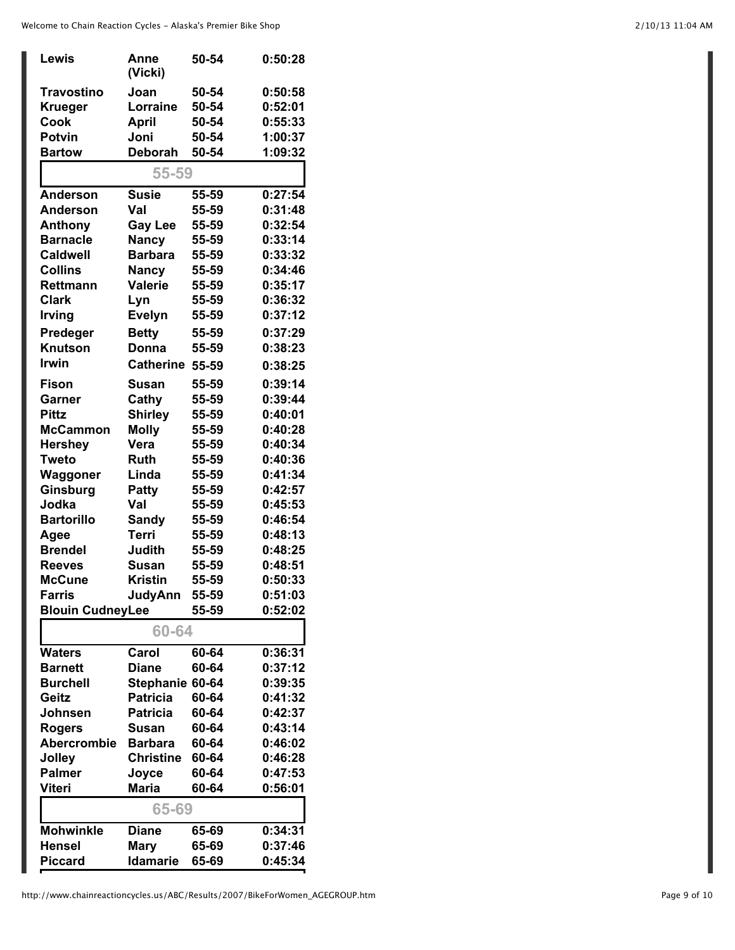| Lewis                   | Anne<br>(Vicki)  | 50-54 | 0:50:28 |
|-------------------------|------------------|-------|---------|
| Travostino              | Joan             | 50-54 | 0:50:58 |
| <b>Krueger</b>          | Lorraine         | 50-54 | 0:52:01 |
| Cook                    | April            | 50-54 | 0:55:33 |
| <b>Potvin</b>           | Joni             | 50-54 | 1:00:37 |
| <b>Bartow</b>           | <b>Deborah</b>   | 50-54 | 1:09:32 |
|                         | 55-59            |       |         |
| <b>Anderson</b>         | <b>Susie</b>     | 55-59 | 0:27:54 |
| <b>Anderson</b>         | Val              | 55-59 | 0:31:48 |
| Anthony                 | <b>Gay Lee</b>   | 55-59 | 0:32:54 |
| <b>Barnacle</b>         | <b>Nancy</b>     | 55-59 | 0:33:14 |
| <b>Caldwell</b>         | <b>Barbara</b>   | 55-59 | 0:33:32 |
| <b>Collins</b>          | <b>Nancy</b>     | 55-59 | 0:34:46 |
| <b>Rettmann</b>         | <b>Valerie</b>   | 55-59 | 0:35:17 |
| <b>Clark</b>            | Lyn              | 55-59 | 0:36:32 |
| <b>Irving</b>           | <b>Evelyn</b>    | 55-59 | 0:37:12 |
| Predeger                | <b>Betty</b>     | 55-59 | 0:37:29 |
| Knutson                 | Donna            | 55-59 | 0:38:23 |
| <b>Irwin</b>            | <b>Catherine</b> | 55-59 | 0:38:25 |
| Fison                   | Susan            | 55-59 | 0:39:14 |
| Garner                  | Cathy            | 55-59 | 0:39:44 |
| <b>Pittz</b>            | <b>Shirley</b>   | 55-59 | 0:40:01 |
| <b>McCammon</b>         | <b>Molly</b>     | 55-59 | 0:40:28 |
| <b>Hershey</b>          | Vera             | 55-59 | 0:40:34 |
| <b>Tweto</b>            | <b>Ruth</b>      | 55-59 | 0:40:36 |
| Waggoner                | Linda            | 55-59 | 0:41:34 |
| Ginsburg                | Patty            | 55-59 | 0:42:57 |
| Jodka                   | Val              | 55-59 | 0:45:53 |
| <b>Bartorillo</b>       | <b>Sandy</b>     | 55-59 | 0:46:54 |
| Agee                    | <b>Terri</b>     | 55-59 | 0:48:13 |
| <b>Brendel</b>          | Judith           | 55-59 | 0:48:25 |
| <b>Reeves</b>           | <b>Susan</b>     | 55-59 | 0:48:51 |
| <b>McCune</b>           | <b>Kristin</b>   | 55-59 | 0:50:33 |
| <b>Farris</b>           | <b>JudyAnn</b>   | 55-59 | 0:51:03 |
| <b>Blouin CudneyLee</b> |                  | 55-59 | 0:52:02 |
|                         | 60-64            |       |         |
| <b>Waters</b>           | Carol            | 60-64 | 0:36:31 |
| <b>Barnett</b>          | <b>Diane</b>     | 60-64 | 0:37:12 |
| <b>Burchell</b>         | Stephanie 60-64  |       | 0:39:35 |
| Geitz                   | <b>Patricia</b>  | 60-64 | 0:41:32 |
| Johnsen                 | <b>Patricia</b>  | 60-64 | 0:42:37 |
| <b>Rogers</b>           | <b>Susan</b>     | 60-64 | 0:43:14 |
| <b>Abercrombie</b>      | <b>Barbara</b>   | 60-64 | 0:46:02 |
| Jolley                  | <b>Christine</b> | 60-64 | 0:46:28 |
| <b>Palmer</b>           | Joyce            | 60-64 | 0:47:53 |
| Viteri                  | <b>Maria</b>     | 60-64 | 0:56:01 |
|                         | 65-69            |       |         |
| <b>Mohwinkle</b>        | <b>Diane</b>     | 65-69 | 0:34:31 |
| <b>Hensel</b>           | <b>Mary</b>      | 65-69 | 0:37:46 |
| <b>Piccard</b>          | <b>Idamarie</b>  | 65-69 | 0:45:34 |